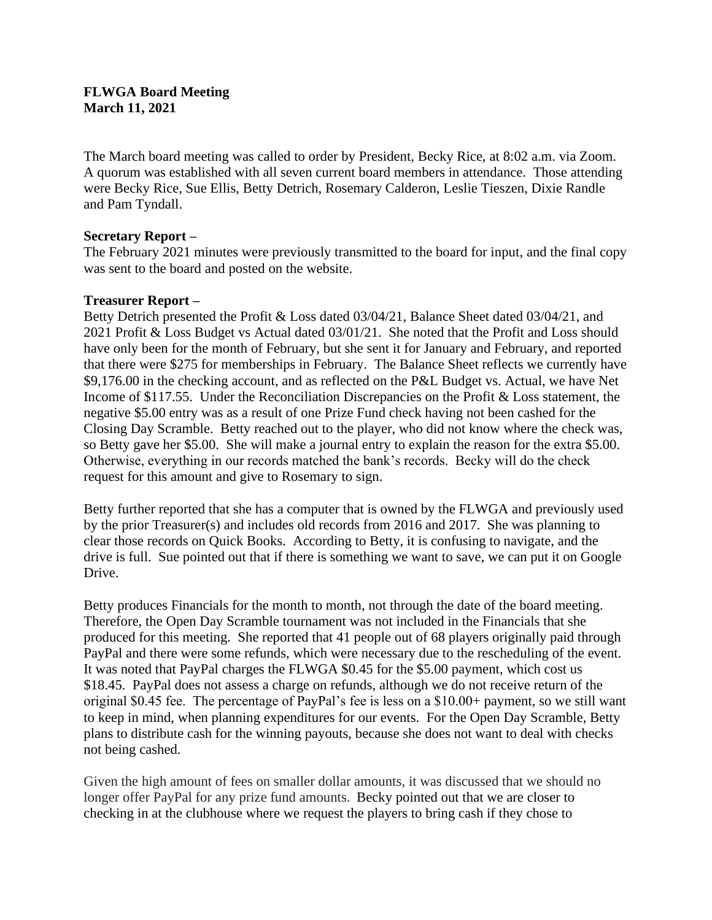#### **FLWGA Board Meeting March 11, 2021**

The March board meeting was called to order by President, Becky Rice, at 8:02 a.m. via Zoom. A quorum was established with all seven current board members in attendance. Those attending were Becky Rice, Sue Ellis, Betty Detrich, Rosemary Calderon, Leslie Tieszen, Dixie Randle and Pam Tyndall.

## **Secretary Report –**

The February 2021 minutes were previously transmitted to the board for input, and the final copy was sent to the board and posted on the website.

## **Treasurer Report –**

Betty Detrich presented the Profit & Loss dated 03/04/21, Balance Sheet dated 03/04/21, and 2021 Profit & Loss Budget vs Actual dated 03/01/21. She noted that the Profit and Loss should have only been for the month of February, but she sent it for January and February, and reported that there were \$275 for memberships in February. The Balance Sheet reflects we currently have \$9,176.00 in the checking account, and as reflected on the P&L Budget vs. Actual, we have Net Income of \$117.55. Under the Reconciliation Discrepancies on the Profit & Loss statement, the negative \$5.00 entry was as a result of one Prize Fund check having not been cashed for the Closing Day Scramble. Betty reached out to the player, who did not know where the check was, so Betty gave her \$5.00. She will make a journal entry to explain the reason for the extra \$5.00. Otherwise, everything in our records matched the bank's records. Becky will do the check request for this amount and give to Rosemary to sign.

Betty further reported that she has a computer that is owned by the FLWGA and previously used by the prior Treasurer(s) and includes old records from 2016 and 2017. She was planning to clear those records on Quick Books. According to Betty, it is confusing to navigate, and the drive is full. Sue pointed out that if there is something we want to save, we can put it on Google Drive.

Betty produces Financials for the month to month, not through the date of the board meeting. Therefore, the Open Day Scramble tournament was not included in the Financials that she produced for this meeting. She reported that 41 people out of 68 players originally paid through PayPal and there were some refunds, which were necessary due to the rescheduling of the event. It was noted that PayPal charges the FLWGA \$0.45 for the \$5.00 payment, which cost us \$18.45. PayPal does not assess a charge on refunds, although we do not receive return of the original \$0.45 fee. The percentage of PayPal's fee is less on a \$10.00+ payment, so we still want to keep in mind, when planning expenditures for our events. For the Open Day Scramble, Betty plans to distribute cash for the winning payouts, because she does not want to deal with checks not being cashed.

Given the high amount of fees on smaller dollar amounts, it was discussed that we should no longer offer PayPal for any prize fund amounts. Becky pointed out that we are closer to checking in at the clubhouse where we request the players to bring cash if they chose to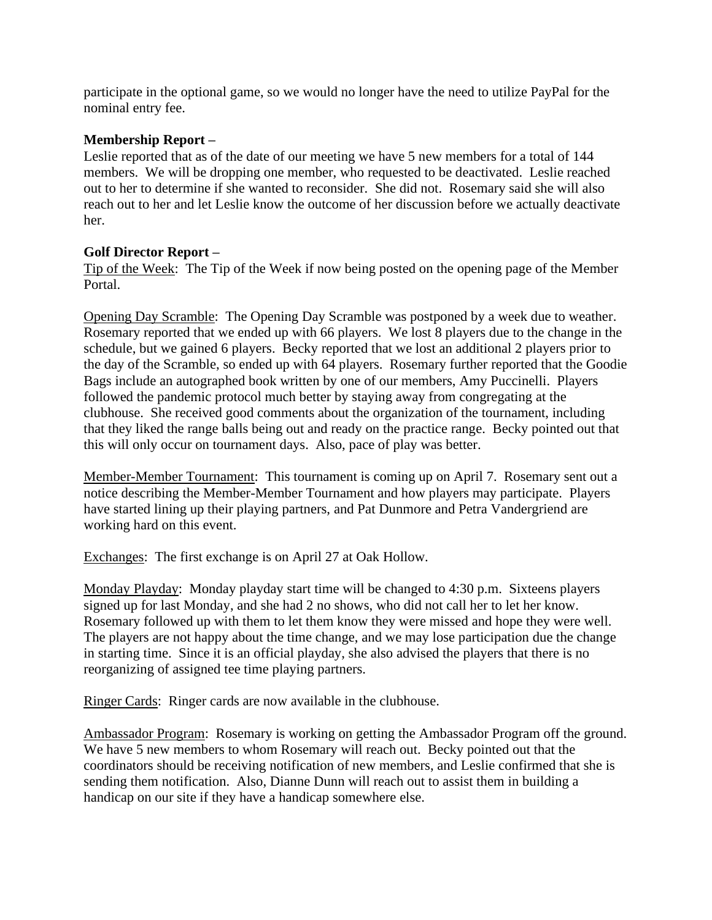participate in the optional game, so we would no longer have the need to utilize PayPal for the nominal entry fee.

## **Membership Report –**

Leslie reported that as of the date of our meeting we have 5 new members for a total of 144 members. We will be dropping one member, who requested to be deactivated. Leslie reached out to her to determine if she wanted to reconsider. She did not. Rosemary said she will also reach out to her and let Leslie know the outcome of her discussion before we actually deactivate her.

## **Golf Director Report –**

Tip of the Week: The Tip of the Week if now being posted on the opening page of the Member Portal.

Opening Day Scramble: The Opening Day Scramble was postponed by a week due to weather. Rosemary reported that we ended up with 66 players. We lost 8 players due to the change in the schedule, but we gained 6 players. Becky reported that we lost an additional 2 players prior to the day of the Scramble, so ended up with 64 players. Rosemary further reported that the Goodie Bags include an autographed book written by one of our members, Amy Puccinelli. Players followed the pandemic protocol much better by staying away from congregating at the clubhouse. She received good comments about the organization of the tournament, including that they liked the range balls being out and ready on the practice range. Becky pointed out that this will only occur on tournament days. Also, pace of play was better.

Member-Member Tournament: This tournament is coming up on April 7. Rosemary sent out a notice describing the Member-Member Tournament and how players may participate. Players have started lining up their playing partners, and Pat Dunmore and Petra Vandergriend are working hard on this event.

Exchanges: The first exchange is on April 27 at Oak Hollow.

Monday Playday: Monday playday start time will be changed to 4:30 p.m. Sixteens players signed up for last Monday, and she had 2 no shows, who did not call her to let her know. Rosemary followed up with them to let them know they were missed and hope they were well. The players are not happy about the time change, and we may lose participation due the change in starting time. Since it is an official playday, she also advised the players that there is no reorganizing of assigned tee time playing partners.

Ringer Cards: Ringer cards are now available in the clubhouse.

Ambassador Program: Rosemary is working on getting the Ambassador Program off the ground. We have 5 new members to whom Rosemary will reach out. Becky pointed out that the coordinators should be receiving notification of new members, and Leslie confirmed that she is sending them notification. Also, Dianne Dunn will reach out to assist them in building a handicap on our site if they have a handicap somewhere else.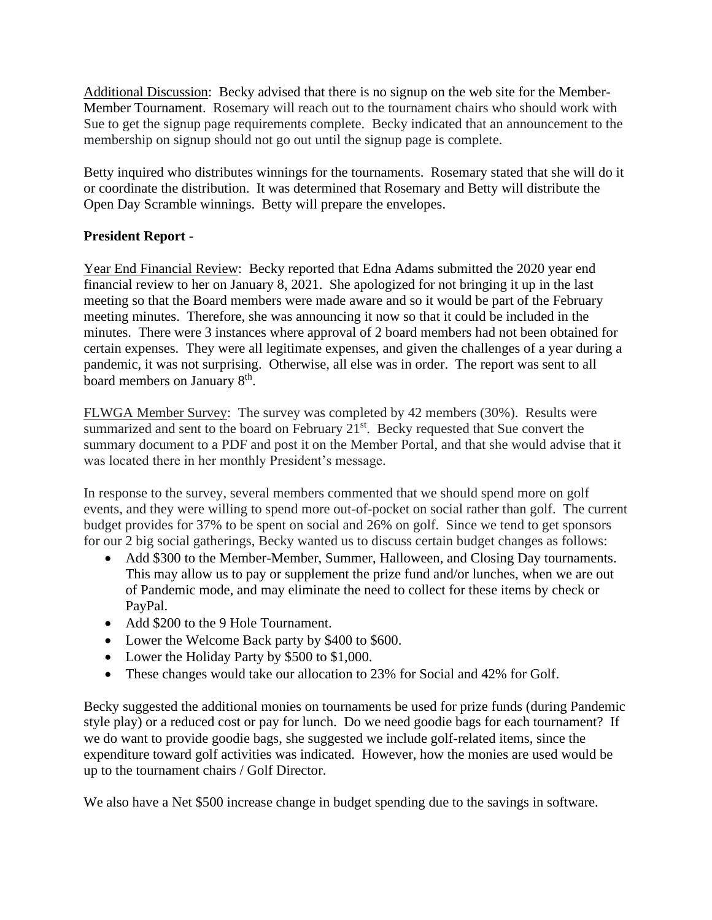Additional Discussion: Becky advised that there is no signup on the web site for the Member-Member Tournament. Rosemary will reach out to the tournament chairs who should work with Sue to get the signup page requirements complete. Becky indicated that an announcement to the membership on signup should not go out until the signup page is complete.

Betty inquired who distributes winnings for the tournaments. Rosemary stated that she will do it or coordinate the distribution. It was determined that Rosemary and Betty will distribute the Open Day Scramble winnings. Betty will prepare the envelopes.

# **President Report -**

Year End Financial Review: Becky reported that Edna Adams submitted the 2020 year end financial review to her on January 8, 2021. She apologized for not bringing it up in the last meeting so that the Board members were made aware and so it would be part of the February meeting minutes. Therefore, she was announcing it now so that it could be included in the minutes. There were 3 instances where approval of 2 board members had not been obtained for certain expenses. They were all legitimate expenses, and given the challenges of a year during a pandemic, it was not surprising. Otherwise, all else was in order. The report was sent to all board members on January 8<sup>th</sup>.

FLWGA Member Survey: The survey was completed by 42 members (30%). Results were summarized and sent to the board on February 21<sup>st</sup>. Becky requested that Sue convert the summary document to a PDF and post it on the Member Portal, and that she would advise that it was located there in her monthly President's message.

In response to the survey, several members commented that we should spend more on golf events, and they were willing to spend more out-of-pocket on social rather than golf. The current budget provides for 37% to be spent on social and 26% on golf. Since we tend to get sponsors for our 2 big social gatherings, Becky wanted us to discuss certain budget changes as follows:

- Add \$300 to the Member-Member, Summer, Halloween, and Closing Day tournaments. This may allow us to pay or supplement the prize fund and/or lunches, when we are out of Pandemic mode, and may eliminate the need to collect for these items by check or PayPal.
- Add \$200 to the 9 Hole Tournament.
- Lower the Welcome Back party by \$400 to \$600.
- Lower the Holiday Party by \$500 to \$1,000.
- These changes would take our allocation to 23% for Social and 42% for Golf.

Becky suggested the additional monies on tournaments be used for prize funds (during Pandemic style play) or a reduced cost or pay for lunch. Do we need goodie bags for each tournament? If we do want to provide goodie bags, she suggested we include golf-related items, since the expenditure toward golf activities was indicated. However, how the monies are used would be up to the tournament chairs / Golf Director.

We also have a Net \$500 increase change in budget spending due to the savings in software.